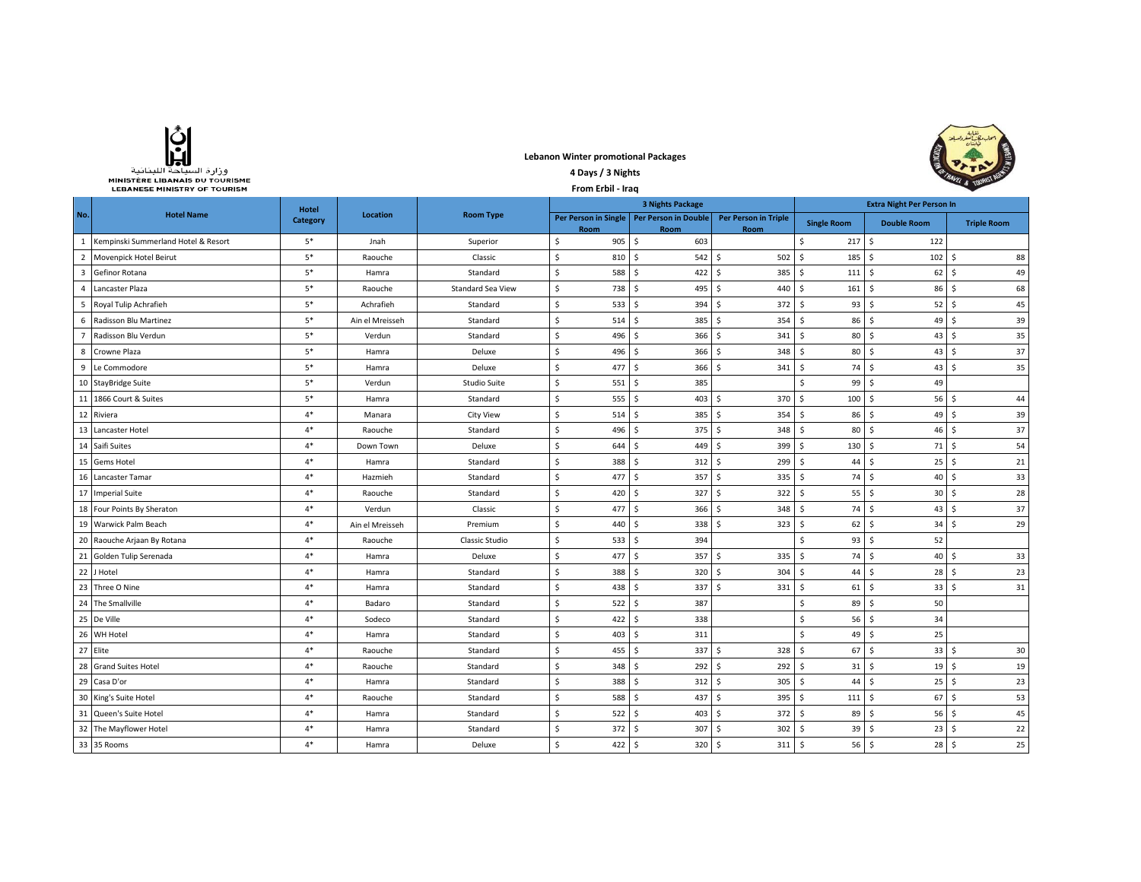| وزارة السياحة اللينانية               |
|---------------------------------------|
| <b>MINISTÈRE LIBANAIS DU TOURISME</b> |
| <b>LEBANESE MINISTRY OF TOURISM</b>   |

## **Lebanon Winter promotional Packages**



|                | МІНІЭТЕКЕ ЕІВАНАІЭ РО ТООКІЭМЕ<br><b>LEBANESE MINISTRY OF TOURISM</b> |                          |                 | Sa Channel              |                              |                              |                                     |                                       |                        |                    |
|----------------|-----------------------------------------------------------------------|--------------------------|-----------------|-------------------------|------------------------------|------------------------------|-------------------------------------|---------------------------------------|------------------------|--------------------|
|                |                                                                       |                          |                 | <b>3 Nights Package</b> |                              |                              | <b>Extra Night Per Person In</b>    |                                       |                        |                    |
| No.            | <b>Hotel Name</b>                                                     | <b>Hotel</b><br>Category | <b>Location</b> | <b>Room Type</b>        | Per Person in Single<br>Room | Per Person in Double<br>Room | <b>Per Person in Triple</b><br>Room | <b>Single Room</b>                    | <b>Double Room</b>     | <b>Triple Room</b> |
| 1              | Kempinski Summerland Hotel & Resort                                   | $5*$                     | Jnah            | Superior                | \$<br>905                    | \$<br>603                    |                                     | 217S<br>\$                            | 122                    |                    |
| $\overline{2}$ | Movenpick Hotel Beirut                                                | $5*$                     | Raouche         | Classic                 | $\mathsf S$<br>810           | $\dot{\mathsf{S}}$<br>542    | \$<br>502                           | $185$ \$<br>$\mathsf{S}$              | 102                    | 88<br>Ŝ            |
| 3              | Gefinor Rotana                                                        | $5*$                     | Hamra           | Standard                | \$<br>588                    | Ŝ.<br>422                    | Ś.<br>385                           | $\ddot{\mathsf{s}}$<br>$111 \quad$ \$ | 62                     | 49<br>Ŝ.           |
| 4              | Lancaster Plaza                                                       | $5^\ast$                 | Raouche         | Standard Sea View       | \$<br>738                    | Ŝ.<br>495                    | Ś.<br>440                           | $\mathsf{S}$<br>161                   | S.<br>86               | 68<br>S.           |
| 5              | Royal Tulip Achrafieh                                                 | $\mathsf{5}^*$           | Achrafieh       | Standard                | \$<br>533                    | 394<br>Ŝ                     | 372<br>\$                           | Ŝ.<br>$93 \mid 5$                     | $52 \mid 5$            | 45                 |
| 6              | Radisson Blu Martinez                                                 | $5^\ast$                 | Ain el Mreisseh | Standard                | \$<br>514                    | 385<br>Ŝ.                    | Ś.<br>354                           | Ś.<br>86                              | S.<br>49               | 39<br>-Ŝ           |
| $\overline{7}$ | Radisson Blu Verdun                                                   | $5^\ast$                 | Verdun          | Standard                | \$<br>496                    | <sup>\$</sup><br>366         | Ś.<br>341                           | Ś.<br>80                              | S.<br>43               | 35<br>Ŝ            |
| 8              | Crowne Plaza                                                          | $5^\ast$                 | Hamra           | Deluxe                  | \$<br>496                    | 366<br>Ŝ.                    | Ś.<br>348                           | Ś.<br>$80 \quad$ \$                   | 43                     | 37<br>Ŝ            |
| 9              | Le Commodore                                                          | $5*$                     | Hamra           | Deluxe                  | \$<br>477                    | <sup>\$</sup><br>366         | Ś.<br>341                           | 74S<br>Ŝ.                             | 43                     | 35<br>Ŝ            |
|                | 10 StayBridge Suite                                                   | $5*$                     | Verdun          | <b>Studio Suite</b>     | \$<br>551                    | 385<br>\$                    |                                     | \$<br>$99 \quad$ \$                   | 49                     |                    |
| 11             | 1866 Court & Suites                                                   | $5*$                     | Hamra           | Standard                | \$<br>555                    | Ŝ<br>403                     | Ŝ.<br>370                           | $\sim$ \$<br>$100 \quad$ \$           | 56                     | 44<br>-S           |
|                | 12 Riviera                                                            | $4*$                     | Manara          | <b>City View</b>        | $\mathsf{S}$<br>514          | \$<br>385                    | \$<br>354                           | Ŝ.<br>$86 \quad$                      | 49                     | 39<br>-Ś           |
|                | 13 Lancaster Hotel                                                    | $4*$                     | Raouche         | Standard                | \$<br>496                    | \$<br>375                    | \$<br>348                           | S.<br>80 <sup>5</sup>                 | 46                     | 37<br>\$           |
|                | 14 Saifi Suites                                                       | $4*$                     | Down Town       | Deluxe                  | \$<br>644                    | \$<br>449                    | \$<br>399                           | \$<br>$130 \pm 5$                     | 71                     | 54<br>S.           |
|                | 15 Gems Hotel                                                         | $4*$                     | Hamra           | Standard                | \$<br>388                    | \$<br>312                    | \$<br>299                           | Ŝ.<br>44                              | S.<br>25 <sub>5</sub>  | 21                 |
|                | 16 Lancaster Tamar                                                    | $4*$                     | Hazmieh         | Standard                | $\mathsf S$<br>477           | \$<br>357                    | \$<br>335                           | $\mathsf{S}$<br>74S                   | 40                     | Ŝ.<br>33           |
|                | 17 Imperial Suite                                                     | $4*$                     | Raouche         | Standard                | \$<br>420                    | \$<br>327                    | Ś.<br>322                           | $\mathsf S$<br>$55$ $\sqrt{5}$        | $30 \quad S$           | 28                 |
|                | 18 Four Points By Sheraton                                            | $4*$                     | Verdun          | Classic                 | \$<br>477                    | Ŝ.<br>366                    | Ŝ.<br>348                           | S.<br>74S                             | 43                     | 37<br>-S           |
| 19             | Warwick Palm Beach                                                    | $4*$                     | Ain el Mreisseh | Premium                 | \$<br>440                    | Ŝ<br>338                     | 323<br>Ŝ.                           | S.<br>$62 \mid 5$                     | $34 \quad $5$          | 29                 |
| 20             | Raouche Arjaan By Rotana                                              | $4*$                     | Raouche         | Classic Studio          | \$<br>533                    | 394<br>Ŝ                     |                                     | \$<br>93                              | S.<br>52               |                    |
|                | 21 Golden Tulip Serenada                                              | $4*$                     | Hamra           | Deluxe                  | 477<br>\$                    | Ŝ.<br>357                    | Ś.<br>335                           | Ś.<br>74                              | S.<br>40               | 33<br>l s          |
|                | 22 J Hotel                                                            | $4*$                     | Hamra           | Standard                | \$<br>388                    | Ŝ.<br>320                    | Ś.<br>304                           | Ś.<br>44                              | -\$<br>28 <sub>5</sub> | 23                 |
|                | 23 Three O Nine                                                       | $4*$                     | Hamra           | Standard                | \$<br>438                    | 337<br>Ŝ.                    | Ś.<br>331                           | \$<br>$61 \mid 5$                     | 33                     | 31<br>Ŝ            |
|                | 24 The Smallville                                                     | $4*$                     | Badaro          | Standard                | \$<br>522                    | 387<br>\$                    |                                     | \$                                    | $89 \mid 5$<br>50      |                    |
|                | 25 De Ville                                                           | $4*$                     | Sodeco          | Standard                | \$<br>422                    | \$<br>338                    |                                     | Ś.<br>$56 \quad$                      | 34                     |                    |
| 26             | WH Hotel                                                              | $4*$                     | Hamra           | Standard                | $\sf S$<br>403               | \$<br>311                    |                                     | Ś.<br>$49 \mid 5$                     | 25                     |                    |
|                | 27 Elite                                                              | $4*$                     | Raouche         | Standard                | \$<br>455                    | 337<br>\$                    | 328<br>\$                           | $67$ \$<br>S.                         | 33                     | 30<br>-Ŝ           |
| 28             | <b>Grand Suites Hotel</b>                                             | $4*$                     | Raouche         | Standard                | \$<br>348                    | \$<br>292                    | \$<br>292                           | $\mathsf{S}$<br>31                    | l \$<br>19             | 19<br>\$           |
|                | 29 Casa D'or                                                          | $4*$                     | Hamra           | Standard                | \$<br>388                    | \$<br>312                    | \$<br>305                           | \$<br>44                              | Ŝ.<br>25               | 23<br>\$           |
| 30             | King's Suite Hotel                                                    | $4*$                     | Raouche         | Standard                | \$<br>588                    | \$<br>437                    | \$<br>395                           | \$<br>$111 \quad$ \$                  | 67                     | Ŝ<br>53            |
| 31             | Queen's Suite Hotel                                                   | $4*$                     | Hamra           | Standard                | \$<br>522                    | \$<br>403                    | \$<br>372                           | Ŝ.<br>89                              | S.<br>56               | 45<br>S.           |
|                | 32 The Mayflower Hotel                                                | $4*$                     | Hamra           | Standard                | \$<br>372                    | 307<br>-Ŝ                    | 302<br>\$                           | Ŝ.<br>$39 \mid 5$                     | 23                     | 22<br>-S           |
|                | 33 35 Rooms                                                           | $4*$                     | Hamra           | Deluxe                  | Ś.<br>$422 \quad$ \$         | $320 \quad$ \$               | 311S                                | $56$ $\sqrt{5}$                       | 28 <sub>5</sub>        | 25                 |

**4 Days / 3 Nights**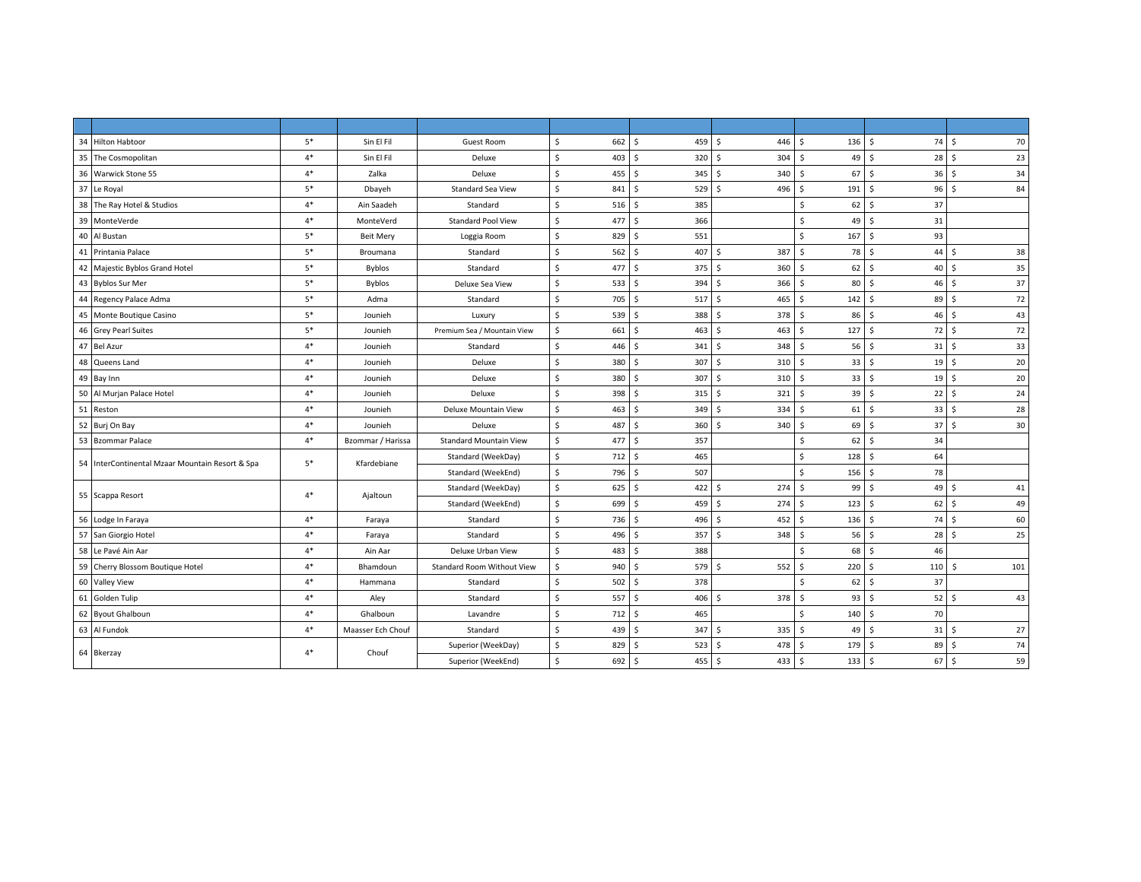| 34 Hilton Habtoor                               | $5*$ | Sin El Fil        | Guest Room                        | \$<br>662 | \$<br>459 \$        | 446                 | \$<br>$136 \quad $$  | 74         | 70<br>- Ś            |
|-------------------------------------------------|------|-------------------|-----------------------------------|-----------|---------------------|---------------------|----------------------|------------|----------------------|
| 35 The Cosmopolitan                             | $4*$ | Sin El Fil        | Deluxe                            | \$<br>403 | \$<br>320S          | 304                 | 49<br>\$             | 28<br>l \$ | -\$<br>23            |
| 36 Warwick Stone 55                             | $4*$ | Zalka             | Deluxe                            | \$<br>455 | \$<br>345S          | 340                 | Ŝ.<br>67             | l \$<br>36 | 34<br>-\$            |
| 37 Le Royal                                     | $5*$ | Dbayeh            | <b>Standard Sea View</b>          | \$<br>841 | Ś<br>529S           | 496                 | \$<br>191            | l \$<br>96 | $\mathsf{s}$<br>84   |
| 38 The Ray Hotel & Studios                      | $4*$ | Ain Saadeh        | Standard                          | \$<br>516 | Ś<br>385            |                     | 62<br>Ŝ.             | 37<br>۱Ś.  |                      |
| 39<br>MonteVerde                                | $4*$ | MonteVerd         | <b>Standard Pool View</b>         | Ś<br>477  | Š.<br>366           |                     | Š.<br>49             | l \$<br>31 |                      |
| 40<br>Al Bustan                                 | $5*$ | <b>Beit Mery</b>  | Loggia Room                       | Ś.<br>829 | Ś<br>551            |                     | \$<br>167            | 93<br>S.   |                      |
| 41 Printania Palace                             | $5*$ | Broumana          | Standard                          | \$<br>562 | Ś<br>407            | Ŝ.<br>387           | Ŝ.<br>78             | 44<br>۱Ś.  | 38<br><sup>5</sup>   |
| 42 Majestic Byblos Grand Hotel                  | $5*$ | <b>Byblos</b>     | Standard                          | Ś.<br>477 | \$<br>375S          | 360                 | 62<br>S.             | 40<br>l S  | 35<br>-Ś             |
| 43 Byblos Sur Mer                               | $5*$ | <b>Byblos</b>     | Deluxe Sea View                   | Ś.<br>533 | Ś.<br>394 S         | 366                 | Ŝ.<br>80 \$          | 46         | 37<br>- Ś            |
| 44 Regency Palace Adma                          | $5*$ | Adma              | Standard                          | \$<br>705 | \$<br>517S          | 465                 | $142 \quad$ \$<br>\$ | 89         | 72<br>-\$            |
| 45 Monte Boutique Casino                        | $5*$ | Jounieh           | Luxury                            | \$<br>539 | Ś.<br>388 \$        | 378                 | Ŝ.<br>86             | l s<br>46  | 43<br>Ŝ.             |
| 46 Grey Pearl Suites                            | $5*$ | Jounieh           | Premium Sea / Mountain View       | Ś.<br>661 | Ś.<br>$463 \quad 5$ | 463                 | 127<br>Ŝ.            | 72<br>l s  | 72<br>-\$            |
| 47 Bel Azur                                     | $4*$ | Jounieh           | Standard                          | \$<br>446 | Š.<br>341S          | 348                 | 56<br>Ŝ.             | l \$<br>31 | 33<br>S.             |
| 48 Queens Land                                  | $4*$ | Jounieh           | Deluxe                            | \$<br>380 | Ś<br>307            | Ŝ.<br>310           | Ŝ.<br>33             | 19<br>l s  | 20<br>-Ś             |
| 49 Bay Inn                                      | $4*$ | Jounieh           | Deluxe                            | \$<br>380 | Š.<br>307           | S.<br>310           | Ŝ.<br>33             | l s<br>19  | 20<br>Ŝ.             |
| 50 Al Murjan Palace Hotel                       | $4*$ | Jounieh           | Deluxe                            | Ś<br>398  | $315$ \$<br>Ś       | 321                 | S.<br>39             | 22<br>l \$ | 24<br>-\$            |
| 51 Reston                                       | $4*$ | Jounieh           | Deluxe Mountain View              | \$<br>463 | \$<br>349 \$        | 334                 | Ŝ.<br>61             | l \$<br>33 | 28<br>S.             |
| 52 Burj On Bay                                  | $4*$ | Jounieh           | Deluxe                            | \$<br>487 | Ś<br>360            | 340<br>$\mathsf{S}$ | 69<br>Ŝ.             | l s<br>37  | 30<br>Ŝ.             |
| 53 Bzommar Palace                               | $4*$ | Bzommar / Harissa | <b>Standard Mountain View</b>     | Ś<br>477  | Ś<br>357            |                     | Ŝ.<br>62             | 34<br>۱Ś.  |                      |
| 54 InterContinental Mzaar Mountain Resort & Spa | $5*$ | Kfardebiane       | Standard (WeekDay)                | \$<br>712 | Ś<br>465            |                     | 128<br>\$            | 64<br>۱s   |                      |
|                                                 |      |                   | Standard (WeekEnd)                | \$<br>796 | Š.<br>507           |                     | \$<br>156            | l \$<br>78 |                      |
| 55 Scappa Resort                                | $4*$ | Ajaltoun          | Standard (WeekDay)                | \$<br>625 | Ś<br>422            | -Ś<br>274           | 99<br>\$             | 49<br>۱Ś.  | 41<br>-\$            |
|                                                 |      |                   | Standard (WeekEnd)                | \$<br>699 | Ś.<br>459 \$        | 274                 | \$<br>123            | l \$<br>62 | 49<br>- Ś            |
| 56 Lodge In Faraya                              | $4*$ | Faraya            | Standard                          | \$<br>736 | 496 \$<br>\$        | 452                 | $136 \quad $$<br>\$  | 74         | 60<br>-\$            |
| 57 San Giorgio Hotel                            | $4*$ | Faraya            | Standard                          | \$<br>496 | 357<br>Ś.           | S.<br>348           | $56$ \$<br>\$        | 28         | 25<br>Ŝ              |
| 58 Le Pavé Ain Aar                              | $4*$ | Ain Aar           | Deluxe Urban View                 | \$<br>483 | Ś<br>388            |                     | <sub>S</sub><br>68   | 46<br>l s  |                      |
| 59 Cherry Blossom Boutique Hotel                | $4*$ | Bhamdoun          | <b>Standard Room Without View</b> | Ś<br>940  | Ś.<br>579 \$        | 552                 | 220<br>Ŝ.            | l s<br>110 | 101<br><sup>\$</sup> |
| 60 Valley View                                  | $4*$ | Hammana           | Standard                          | \$<br>502 | Ś<br>378            |                     | 62<br>Ŝ.             | 37<br>۱Ś.  |                      |
| 61 Golden Tulip                                 | $4*$ | Aley              | Standard                          | Ś.<br>557 | Ś.<br>406           | Ŝ.<br>378           | 93<br>Ŝ.             | l \$<br>52 | 43<br>-Ś             |
| 62 Byout Ghalboun                               | $4*$ | Ghalboun          | Lavandre                          | \$<br>712 | Ś<br>465            |                     | Ŝ.<br>140            | 70<br>l \$ |                      |
| 63 Al Fundok                                    | $4*$ | Maasser Ech Chouf | Standard                          | \$<br>439 | Ś<br>347S           | 335                 | Ŝ.<br>$49$ \$        | 31         | 27<br>- Ś            |
|                                                 |      |                   | Superior (WeekDay)                | \$<br>829 | Ś.<br>523S          | 478                 | Ŝ.<br>179            | 89<br>l \$ | 74<br>-\$            |
| 64 Bkerzay                                      | $4*$ | Chouf             | Superior (WeekEnd)                | \$<br>692 | \$<br>455 \$        | 433                 | $133 \quad $$<br>\$  | 67         | 59<br>l\$            |